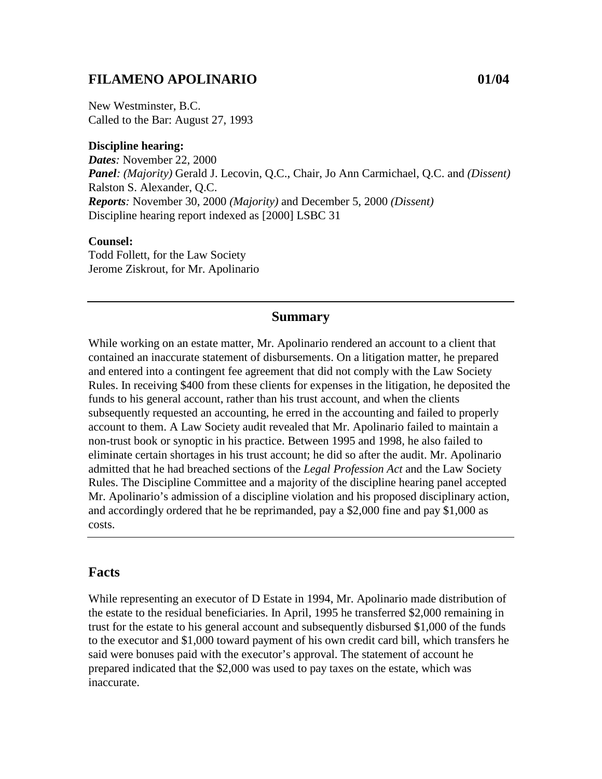## **FILAMENO APOLINARIO 01/04**

New Westminster, B.C. Called to the Bar: August 27, 1993

#### **Discipline hearing:**

*Dates:* November 22, 2000 *Panel: (Majority)* Gerald J. Lecovin, Q.C., Chair, Jo Ann Carmichael, Q.C. and *(Dissent)* Ralston S. Alexander, Q.C. *Reports:* November 30, 2000 *(Majority)* and December 5, 2000 *(Dissent)* Discipline hearing report indexed as [2000] LSBC 31

## **Counsel:**

Todd Follett, for the Law Society Jerome Ziskrout, for Mr. Apolinario

#### **Summary**

While working on an estate matter, Mr. Apolinario rendered an account to a client that contained an inaccurate statement of disbursements. On a litigation matter, he prepared and entered into a contingent fee agreement that did not comply with the Law Society Rules. In receiving \$400 from these clients for expenses in the litigation, he deposited the funds to his general account, rather than his trust account, and when the clients subsequently requested an accounting, he erred in the accounting and failed to properly account to them. A Law Society audit revealed that Mr. Apolinario failed to maintain a non-trust book or synoptic in his practice. Between 1995 and 1998, he also failed to eliminate certain shortages in his trust account; he did so after the audit. Mr. Apolinario admitted that he had breached sections of the *Legal Profession Act* and the Law Society Rules. The Discipline Committee and a majority of the discipline hearing panel accepted Mr. Apolinario's admission of a discipline violation and his proposed disciplinary action, and accordingly ordered that he be reprimanded, pay a \$2,000 fine and pay \$1,000 as costs.

### **Facts**

While representing an executor of D Estate in 1994, Mr. Apolinario made distribution of the estate to the residual beneficiaries. In April, 1995 he transferred \$2,000 remaining in trust for the estate to his general account and subsequently disbursed \$1,000 of the funds to the executor and \$1,000 toward payment of his own credit card bill, which transfers he said were bonuses paid with the executor's approval. The statement of account he prepared indicated that the \$2,000 was used to pay taxes on the estate, which was inaccurate.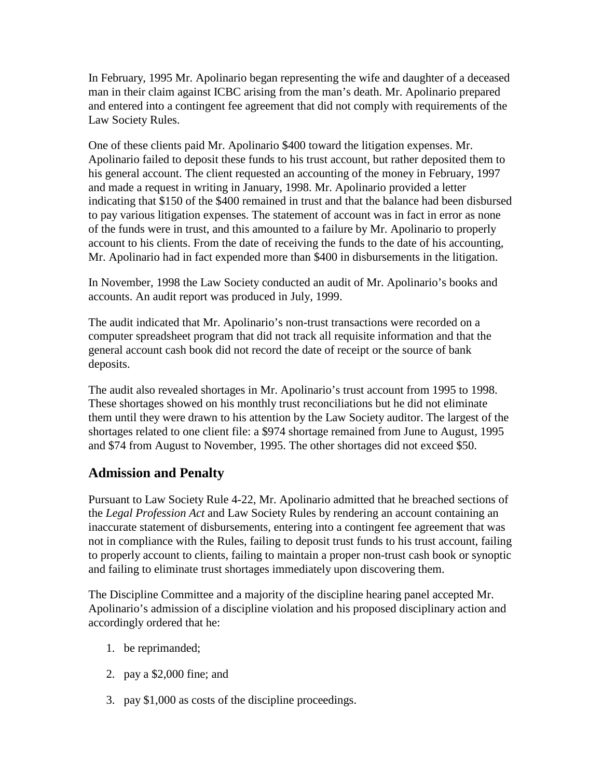In February, 1995 Mr. Apolinario began representing the wife and daughter of a deceased man in their claim against ICBC arising from the man's death. Mr. Apolinario prepared and entered into a contingent fee agreement that did not comply with requirements of the Law Society Rules.

One of these clients paid Mr. Apolinario \$400 toward the litigation expenses. Mr. Apolinario failed to deposit these funds to his trust account, but rather deposited them to his general account. The client requested an accounting of the money in February, 1997 and made a request in writing in January, 1998. Mr. Apolinario provided a letter indicating that \$150 of the \$400 remained in trust and that the balance had been disbursed to pay various litigation expenses. The statement of account was in fact in error as none of the funds were in trust, and this amounted to a failure by Mr. Apolinario to properly account to his clients. From the date of receiving the funds to the date of his accounting, Mr. Apolinario had in fact expended more than \$400 in disbursements in the litigation.

In November, 1998 the Law Society conducted an audit of Mr. Apolinario's books and accounts. An audit report was produced in July, 1999.

The audit indicated that Mr. Apolinario's non-trust transactions were recorded on a computer spreadsheet program that did not track all requisite information and that the general account cash book did not record the date of receipt or the source of bank deposits.

The audit also revealed shortages in Mr. Apolinario's trust account from 1995 to 1998. These shortages showed on his monthly trust reconciliations but he did not eliminate them until they were drawn to his attention by the Law Society auditor. The largest of the shortages related to one client file: a \$974 shortage remained from June to August, 1995 and \$74 from August to November, 1995. The other shortages did not exceed \$50.

# **Admission and Penalty**

Pursuant to Law Society Rule 4-22, Mr. Apolinario admitted that he breached sections of the *Legal Profession Act* and Law Society Rules by rendering an account containing an inaccurate statement of disbursements, entering into a contingent fee agreement that was not in compliance with the Rules, failing to deposit trust funds to his trust account, failing to properly account to clients, failing to maintain a proper non-trust cash book or synoptic and failing to eliminate trust shortages immediately upon discovering them.

The Discipline Committee and a majority of the discipline hearing panel accepted Mr. Apolinario's admission of a discipline violation and his proposed disciplinary action and accordingly ordered that he:

- 1. be reprimanded;
- 2. pay a \$2,000 fine; and
- 3. pay \$1,000 as costs of the discipline proceedings.